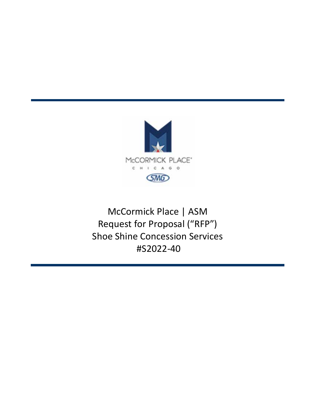

# McCormick Place | ASM Request for Proposal ("RFP") Shoe Shine Concession Services #S2022‐40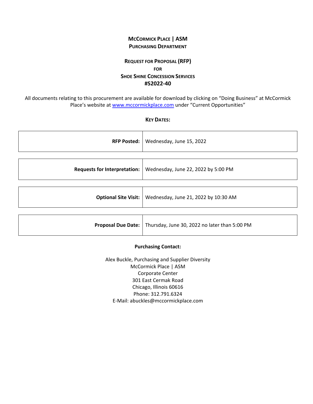# **MCCORMICK PLACE | ASM PURCHASING DEPARTMENT**

# **REQUEST FOR PROPOSAL (RFP) FOR SHOE SHINE CONCESSION SERVICES #S2022‐40**

All documents relating to this procurement are available for download by clicking on "Doing Business" at McCormick Place's website at www.mccormickplace.com under "Current Opportunities"

#### **KEY DATES:**

| <b>RFP Posted:</b>                  | Wednesday, June 15, 2022                                                |
|-------------------------------------|-------------------------------------------------------------------------|
|                                     |                                                                         |
| <b>Requests for Interpretation:</b> | Wednesday, June 22, 2022 by 5:00 PM                                     |
|                                     |                                                                         |
| <b>Optional Site Visit:</b>         | Wednesday, June 21, 2022 by 10:30 AM                                    |
|                                     |                                                                         |
|                                     | <b>Proposal Due Date:</b> Thursday, June 30, 2022 no later than 5:00 PM |

#### **Purchasing Contact:**

Alex Buckle, Purchasing and Supplier Diversity McCormick Place | ASM Corporate Center 301 East Cermak Road Chicago, Illinois 60616 Phone: 312.791.6324 E‐Mail: abuckles@mccormickplace.com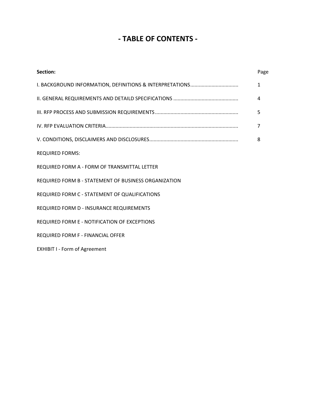# **‐ TABLE OF CONTENTS ‐**

| Section:                                             | Page         |
|------------------------------------------------------|--------------|
|                                                      | $\mathbf{1}$ |
|                                                      | 4            |
|                                                      | 5            |
|                                                      | 7            |
|                                                      | 8            |
| <b>REQUIRED FORMS:</b>                               |              |
| REQUIRED FORM A - FORM OF TRANSMITTAL LETTER         |              |
| REQUIRED FORM B - STATEMENT OF BUSINESS ORGANIZATION |              |
| REQUIRED FORM C - STATEMENT OF QUALIFICATIONS        |              |
| REQUIRED FORM D - INSURANCE REQUIREMENTS             |              |
| REQUIRED FORM E - NOTIFICATION OF EXCEPTIONS         |              |
| <b>REQUIRED FORM F - FINANCIAL OFFER</b>             |              |
| <b>EXHIBIT I - Form of Agreement</b>                 |              |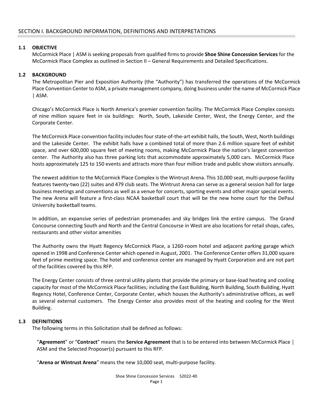### **1.1 OBJECTIVE**

McCormick Place | ASM is seeking proposals from qualified firms to provide **Shoe Shine Concession Services** for the McCormick Place Complex as outlined in Section II – General Requirements and Detailed Specifications.

#### **1.2 BACKGROUND**

 The Metropolitan Pier and Exposition Authority (the "Authority") has transferred the operations of the McCormick Place Convention Center to ASM, a private management company, doing business under the name of McCormick Place | ASM.

 Chicago's McCormick Place is North America's premier convention facility. The McCormick Place Complex consists of nine million square feet in six buildings: North, South, Lakeside Center, West, the Energy Center, and the Corporate Center.

 The McCormick Place convention facility includes four state‐of‐the‐art exhibit halls, the South, West, North buildings and the Lakeside Center. The exhibit halls have a combined total of more than 2.6 million square feet of exhibit space, and over 600,000 square feet of meeting rooms, making McCormick Place the nation's largest convention center. The Authority also has three parking lots that accommodate approximately 5,000 cars. McCormick Place hosts approximately 125 to 150 events and attracts more than four million trade and public show visitors annually.

The newest addition to the McCormick Place Complex is the Wintrust Arena. This 10,000 seat, multi-purpose facility features twenty-two (22) suites and 479 club seats. The Wintrust Arena can serve as a general session hall for large business meetings and conventions as well as a venue for concerts, sporting events and other major special events. The new Arena will feature a first-class NCAA basketball court that will be the new home court for the DePaul University basketball teams.

 In addition, an expansive series of pedestrian promenades and sky bridges link the entire campus. The Grand Concourse connecting South and North and the Central Concourse in West are also locations for retail shops, cafes, restaurants and other visitor amenities

 The Authority owns the Hyatt Regency McCormick Place, a 1260‐room hotel and adjacent parking garage which opened in 1998 and Conference Center which opened in August, 2001. The Conference Center offers 31,000 square feet of prime meeting space. The hotel and conference center are managed by Hyatt Corporation and are not part of the facilities covered by this RFP.

The Energy Center consists of three central utility plants that provide the primary or base-load heating and cooling capacity for most of the McCormick Place facilities; including the East Building, North Building, South Building, Hyatt Regency Hotel, Conference Center, Corporate Center, which houses the Authority's administrative offices, as well as several external customers. The Energy Center also provides most of the heating and cooling for the West Building.

#### **1.3 DEFINITIONS**

The following terms in this Solicitation shall be defined as follows:

"**Agreement**" or "**Contract**" means the **Service Agreement** that is to be entered into between McCormick Place │ ASM and the Selected Proposer(s) pursuant to this RFP.

"**Arena or Wintrust Arena**" means the new 10,000 seat, multi‐purpose facility.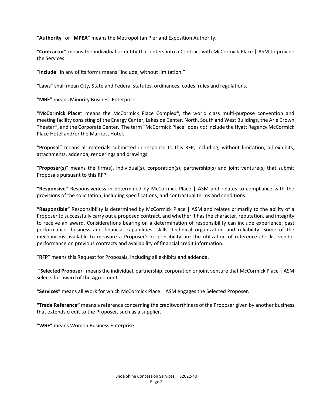"**Authority**" or "**MPEA**" means the Metropolitan Pier and Exposition Authority.

"**Contractor**" means the individual or entity that enters into a Contract with McCormick Place | ASM to provide the Services.

"**Include**" in any of its forms means "include, without limitation."

"**Laws**" shall mean City, State and Federal statutes, ordinances, codes, rules and regulations.

"**MBE**" means Minority Business Enterprise.

"**McCormick Place**" means the McCormick Place Complex®, the world class multi‐purpose convention and meeting facility consisting of the Energy Center, Lakeside Center, North, South and West Buildings, the Arie Crown Theater®, and the Corporate Center. The term "McCormick Place" does *not* include the Hyatt Regency McCormick Place Hotel and/or the Marriott Hotel.

"**Proposal**" means all materials submitted in response to this RFP, including, without limitation, all exhibits, attachments, addenda, renderings and drawings.

"**Proposer(s)**" means the firm(s), individual(s), corporation(s), partnership(s) and joint venture(s) that submit Proposals pursuant to this RFP.

**"Responsive"**  Responsiveness in determined by McCormick Place | ASM and relates to compliance with the provisions of the solicitation, including specifications, and contractual terms and conditions.

**"Responsible"** Responsibility is determined by McCormick Place | ASM and relates primarily to the ability of a Proposer to successfully carry out a proposed contract, and whether it has the character, reputation, and integrity to receive an award. Considerations bearing on a determination of responsibility can include experience, past performance, business and financial capabilities, skills, technical organization and reliability. Some of the mechanisms available to measure a Proposer's responsibility are the utilization of reference checks, vendor performance on previous contracts and availability of financial credit information.

"**RFP**" means this Request for Proposals, including all exhibits and addenda.

 "**Selected Proposer**" means the individual, partnership, corporation or joint venture that McCormick Place │ ASM selects for award of the Agreement.

"**Services**" means all Work for which McCormick Place │ ASM engages the Selected Proposer.

**"Trade Reference"** means a reference concerning the creditworthiness of the Proposer given by another business that extends credit to the Proposer, such as a supplier.

"**WBE**" means Women Business Enterprise.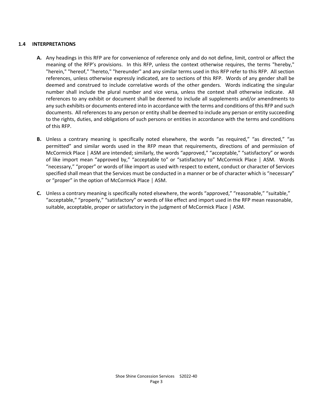#### **1.4 INTERPRETATIONS**

- **A.** Any headings in this RFP are for convenience of reference only and do not define, limit, control or affect the meaning of the RFP's provisions. In this RFP, unless the context otherwise requires, the terms "hereby," "herein," "hereof," "hereto," "hereunder" and any similar terms used in this RFP refer to this RFP. All section references, unless otherwise expressly indicated, are to sections of this RFP. Words of any gender shall be deemed and construed to include correlative words of the other genders. Words indicating the singular number shall include the plural number and vice versa, unless the context shall otherwise indicate. All references to any exhibit or document shall be deemed to include all supplements and/or amendments to any such exhibits or documents entered into in accordance with the terms and conditions of this RFP and such documents. All references to any person or entity shall be deemed to include any person or entity succeeding to the rights, duties, and obligations of such persons or entities in accordance with the terms and conditions of this RFP.
- **B.** Unless a contrary meaning is specifically noted elsewhere, the words "as required," "as directed," "as permitted" and similar words used in the RFP mean that requirements, directions of and permission of McCormick Place | ASM are intended; similarly, the words "approved," "acceptable," "satisfactory" or words of like import mean "approved by," "acceptable to" or "satisfactory to" McCormick Place | ASM. Words "necessary," "proper" or words of like import as used with respect to extent, conduct or character of Services specified shall mean that the Services must be conducted in a manner or be of character which is "necessary" or "proper" in the option of McCormick Place │ ASM.
- **C.** Unless a contrary meaning is specifically noted elsewhere, the words "approved," "reasonable," "suitable," "acceptable," "properly," "satisfactory" or words of like effect and import used in the RFP mean reasonable, suitable, acceptable, proper or satisfactory in the judgment of McCormick Place | ASM.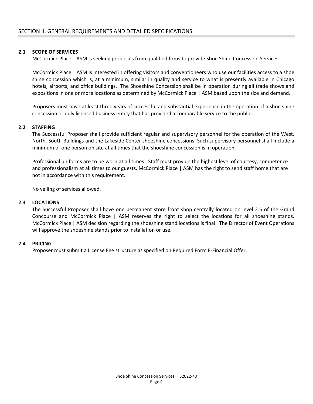### **2.1 SCOPE OF SERVICES**

McCormick Place | ASM is seeking proposals from qualified firms to provide Shoe Shine Concession Services.

McCormick Place | ASM is interested in offering visitors and conventioneers who use our facilities access to a shoe shine concession which is, at a minimum, similar in quality and service to what is presently available in Chicago hotels, airports, and office buildings. The Shoeshine Concession shall be in operation during all trade shows and expositions in one or more locations as determined by McCormick Place | ASM based upon the size and demand.

Proposers must have at least three years of successful and substantial experience in the operation of a shoe shine concession or duly licensed business entity that has provided a comparable service to the public.

#### **2.2 STAFFING**

The Successful Proposer shall provide sufficient regular and supervisory personnel for the operation of the West, North, South Buildings and the Lakeside Center shoeshine concessions. Such supervisory personnel shall include a minimum of one person on site at all times that the shoeshine concession is in operation.

Professional uniforms are to be worn at all times. Staff must provide the highest level of courtesy, competence and professionalism at all times to our guests. McCormick Place | ASM has the right to send staff home that are not in accordance with this requirement.

No yelling of services allowed.

#### **2.3 LOCATIONS**

The Successful Proposer shall have one permanent store front shop centrally located on level 2.5 of the Grand Concourse and McCormick Place | ASM reserves the right to select the locations for all shoeshine stands. McCormick Place | ASM decision regarding the shoeshine stand locations is final. The Director of Event Operations will approve the shoeshine stands prior to installation or use.

#### **2.4 PRICING**

Proposer must submit a License Fee structure as specified on Required Form F‐Financial Offer.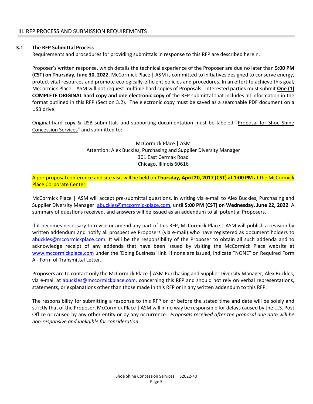#### **3.1 The RFP Submittal Process**

Requirements and procedures for providing submittals in response to this RFP are described herein.

Proposer's written response, which details the technical experience of the Proposer are due no later than **5:00 PM (CST) on Thursday, June 30, 2022.** McCormick Place | ASM is committed to initiatives designed to conserve energy, protect vital resources and promote ecologically-efficient policies and procedures. In an effort to achieve this goal, McCormick Place | ASM will not request multiple hard copies of Proposals. Interested parties must submit **One (1) COMPLETE ORIGINAL hard copy and one electronic copy** of the RFP submittal that includes all information in the format outlined in this RFP (Section 3.2). The electronic copy must be saved as a searchable PDF document on a USB drive.

Original hard copy & USB submittals and supporting documentation must be labeled "Proposal for Shoe Shine Concession Services" and submitted to:

### McCormick Place | ASM Attention: Alex Buckles, Purchasing and Supplier Diversity Manager 301 East Cermak Road Chicago, Illinois 60616

A pre‐proposal conference and site visit will be held on **Thursday, April 20, 2017 (CST) at 1:00 PM** at the McCormick Place Corporate Center.

McCormick Place | ASM will accept pre-submittal questions, in writing via e-mail to Alex Buckles, Purchasing and Supplier Diversity Manager: abuckles@mccormickplace.com, until **5:00 PM (CST) on Wednesday, June 22, 2022**. A summary of questions received, and answers will be issued as an addendum to all potential Proposers.

If it becomes necessary to revise or amend any part of this RFP, McCormick Place | ASM will publish a revision by written addendum and notify all prospective Proposers (via e‐mail) who have registered as document holders to abuckles@mccormickplace.com. It will be the responsibility of the Proposer to obtain all such addenda and to acknowledge receipt of any addenda that have been issued by visiting the McCormick Place website at www.mccormickplace.com under the 'Doing Business' link. If none are issued, indicate "NONE" on Required Form A ‐ Form of Transmittal Letter.

Proposers are to contact only the McCormick Place │ ASM Purchasing and Supplier Diversity Manager, Alex Buckles, via e-mail at abuckles@mccormickplace.com, concerning this RFP and should not rely on verbal representations, statements, or explanations other than those made in this RFP or in any written addendum to this RFP.

The responsibility for submitting a response to this RFP on or before the stated time and date will be solely and strictly that of the Proposer. McCormick Place | ASM will in no way be responsible for delays caused by the U.S. Post Office or caused by any other entity or by any occurrence. *Proposals received after the proposal due date will be non‐responsive and ineligible for consideration*.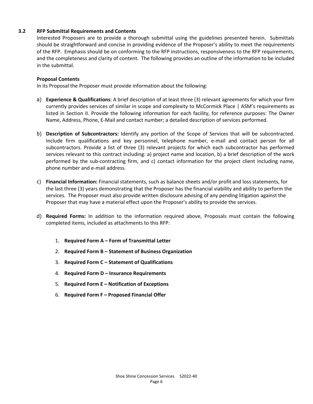### **3.2 RFP Submittal Requirements and Contents**

Interested Proposers are to provide a thorough submittal using the guidelines presented herein. Submittals should be straightforward and concise in providing evidence of the Proposer's ability to meet the requirements of the RFP. Emphasis should be on conforming to the RFP instructions, responsiveness to the RFP requirements, and the completeness and clarity of content. The following provides an outline of the information to be included in the submittal.

#### **Proposal Contents**

In its Proposal the Proposer must provide information about the following:

- a) **Experience & Qualifications**: A brief description of at least three (3) relevant agreements for which your firm currently provides services of similar in scope and complexity to McCormick Place | ASM's requirements as listed in Section II. Provide the following information for each facility, for reference purposes: The Owner Name, Address, Phone, E‐Mail and contact number; a detailed description of services performed.
- b) **Description of Subcontractors:** Identify any portion of the Scope of Services that will be subcontracted. Include firm qualifications and key personnel, telephone number, e-mail and contact person for all subcontractors. Provide a list of three (3) relevant projects for which each subcontractor has performed services relevant to this contract including: a) project name and location, b) a brief description of the work performed by the sub‐contracting firm, and c) contact information for the project client including name, phone number and e‐mail address.
- c) **Financial Information:** Financial statements, such as balance sheets and/or profit and loss statements, for the last three (3) years demonstrating that the Proposer has the financial viability and ability to perform the services. The Proposer must also provide written disclosure advising of any pending litigation against the Proposer that may have a material effect upon the Proposer's ability to provide the services.
- d) **Required Forms:** In addition to the information required above, Proposals must contain the following completed items, included as attachments to this RFP:
	- 1. **Required Form A Form of Transmittal Letter**
	- 2. **Required Form B Statement of Business Organization**
	- 3. **Required Form C Statement of Qualifications**
	- 4. **Required Form D Insurance Requirements**
	- 5. **Required Form E Notification of Exceptions**
	- 6. **Required Form F Proposed Financial Offer**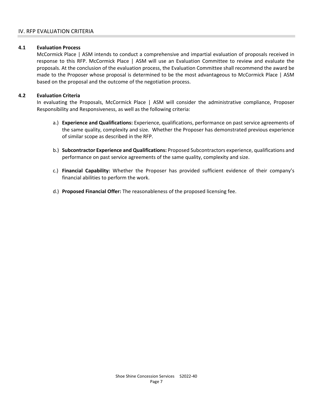### **4.1 Evaluation Process**

McCormick Place | ASM intends to conduct a comprehensive and impartial evaluation of proposals received in response to this RFP. McCormick Place | ASM will use an Evaluation Committee to review and evaluate the proposals. At the conclusion of the evaluation process, the Evaluation Committee shall recommend the award be made to the Proposer whose proposal is determined to be the most advantageous to McCormick Place | ASM based on the proposal and the outcome of the negotiation process.

#### **4.2 Evaluation Criteria**

In evaluating the Proposals, McCormick Place | ASM will consider the administrative compliance, Proposer Responsibility and Responsiveness, as well as the following criteria:

- a.) **Experience and Qualifications:** Experience, qualifications, performance on past service agreements of the same quality, complexity and size. Whether the Proposer has demonstrated previous experience of similar scope as described in the RFP.
- b.) **Subcontractor Experience and Qualifications:** Proposed Subcontractors experience, qualifications and performance on past service agreements of the same quality, complexity and size.
- c.) **Financial Capability:** Whether the Proposer has provided sufficient evidence of their company's financial abilities to perform the work.
- d.) **Proposed Financial Offer:** The reasonableness of the proposed licensing fee.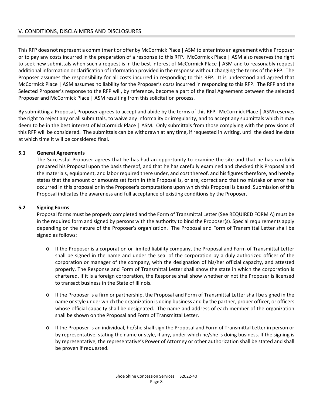This RFP does not represent a commitment or offer by McCormick Place | ASM to enter into an agreement with a Proposer or to pay any costs incurred in the preparation of a response to this RFP. McCormick Place | ASM also reserves the right to seek new submittals when such a request is in the best interest of McCormick Place | ASM and to reasonably request additional information or clarification of information provided in the response without changing the terms of the RFP. The Proposer assumes the responsibility for all costs incurred in responding to this RFP. It is understood and agreed that McCormick Place | ASM assumes no liability for the Proposer's costs incurred in responding to this RFP. The RFP and the Selected Proposer's response to the RFP will, by reference, become a part of the final Agreement between the selected Proposer and McCormick Place | ASM resulting from this solicitation process.

By submitting a Proposal, Proposer agrees to accept and abide by the terms of this RFP. McCormick Place │ ASM reserves the right to reject any or all submittals, to waive any informality or irregularity, and to accept any submittals which it may deem to be in the best interest of McCormick Place │ ASM. Only submittals from those complying with the provisions of this RFP will be considered. The submittals can be withdrawn at any time, if requested in writing, until the deadline date at which time it will be considered final.

### **5.1 General Agreements**

The Successful Proposer agrees that he has had an opportunity to examine the site and that he has carefully prepared his Proposal upon the basis thereof, and that he has carefully examined and checked this Proposal and the materials, equipment, and labor required there under, and cost thereof, and his figures therefore, and hereby states that the amount or amounts set forth in this Proposal is, or are, correct and that no mistake or error has occurred in this proposal or in the Proposer's computations upon which this Proposal is based. Submission of this Proposal indicates the awareness and full acceptance of existing conditions by the Proposer.

# **5.2 Signing Forms**

Proposal forms must be properly completed and the Form of Transmittal Letter (See REQUIRED FORM A) must be in the required form and signed by persons with the authority to bind the Proposer(s). Special requirements apply depending on the nature of the Proposer's organization. The Proposal and Form of Transmittal Letter shall be signed as follows:

- o If the Proposer is a corporation or limited liability company, the Proposal and Form of Transmittal Letter shall be signed in the name and under the seal of the corporation by a duly authorized officer of the corporation or manager of the company, with the designation of his/her official capacity, and attested properly. The Response and Form of Transmittal Letter shall show the state in which the corporation is chartered. If it is a foreign corporation, the Response shall show whether or not the Proposer is licensed to transact business in the State of Illinois.
- o If the Proposer is a firm or partnership, the Proposal and Form of Transmittal Letter shall be signed in the name or style under which the organization is doing business and by the partner, proper officer, or officers whose official capacity shall be designated. The name and address of each member of the organization shall be shown on the Proposal and Form of Transmittal Letter.
- o If the Proposer is an individual, he/she shall sign the Proposal and Form of Transmittal Letter in person or by representative, stating the name or style, if any, under which he/she is doing business. If the signing is by representative, the representative's Power of Attorney or other authorization shall be stated and shall be proven if requested.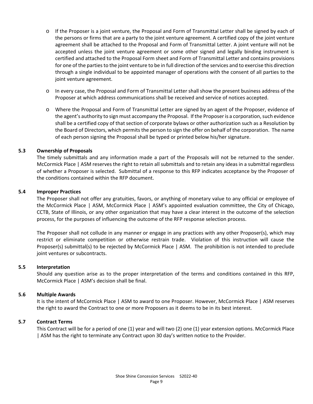- o If the Proposer is a joint venture, the Proposal and Form of Transmittal Letter shall be signed by each of the persons or firms that are a party to the joint venture agreement. A certified copy of the joint venture agreement shall be attached to the Proposal and Form of Transmittal Letter. A joint venture will not be accepted unless the joint venture agreement or some other signed and legally binding instrument is certified and attached to the Proposal Form sheet and Form of Transmittal Letter and contains provisions for one of the parties to the joint venture to be in full direction of the services and to exercise this direction through a single individual to be appointed manager of operations with the consent of all parties to the joint venture agreement.
- o In every case, the Proposal and Form of Transmittal Letter shall show the present business address of the Proposer at which address communications shall be received and service of notices accepted.
- o Where the Proposal and Form of Transmittal Letter are signed by an agent of the Proposer, evidence of the agent's authority to sign must accompany the Proposal. If the Proposer is a corporation, such evidence shall be a certified copy of that section of corporate bylaws or other authorization such as a Resolution by the Board of Directors, which permits the person to sign the offer on behalf of the corporation. The name of each person signing the Proposal shall be typed or printed below his/her signature.

#### **5.3 Ownership of Proposals**

The timely submittals and any information made a part of the Proposals will not be returned to the sender. McCormick Place | ASM reserves the right to retain all submittals and to retain any ideas in a submittal regardless of whether a Proposer is selected. Submittal of a response to this RFP indicates acceptance by the Proposer of the conditions contained within the RFP document.

#### **5.4 Improper Practices**

The Proposer shall not offer any gratuities, favors, or anything of monetary value to any official or employee of the McCormick Place | ASM, McCormick Place | ASM's appointed evaluation committee, the City of Chicago, CCTB, State of Illinois, or any other organization that may have a clear interest in the outcome of the selection process, for the purposes of influencing the outcome of the RFP response selection process.

The Proposer shall not collude in any manner or engage in any practices with any other Proposer(s), which may restrict or eliminate competition or otherwise restrain trade. Violation of this instruction will cause the Proposer(s) submittal(s) to be rejected by McCormick Place | ASM. The prohibition is not intended to preclude joint ventures or subcontracts.

#### **5.5 Interpretation**

Should any question arise as to the proper interpretation of the terms and conditions contained in this RFP, McCormick Place | ASM's decision shall be final.

#### **5.6 Multiple Awards**

It is the intent of McCormick Place | ASM to award to one Proposer. However, McCormick Place | ASM reserves the right to award the Contract to one or more Proposers as it deems to be in its best interest.

#### **5.7 Contract Terms**

This Contract will be for a period of one (1) year and will two (2) one (1) year extension options. McCormick Place | ASM has the right to terminate any Contract upon 30 day's written notice to the Provider.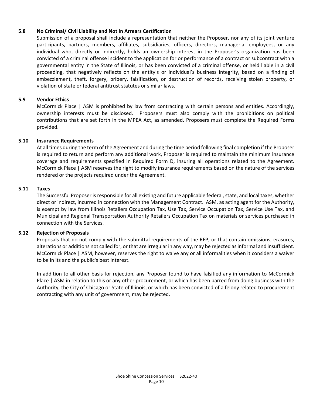### **5.8 No Criminal/ Civil Liability and Not In Arrears Certification**

Submission of a proposal shall include a representation that neither the Proposer, nor any of its joint venture participants, partners, members, affiliates, subsidiaries, officers, directors, managerial employees, or any individual who, directly or indirectly, holds an ownership interest in the Proposer's organization has been convicted of a criminal offense incident to the application for or performance of a contract or subcontract with a governmental entity in the State of Illinois, or has been convicted of a criminal offense, or held liable in a civil proceeding, that negatively reflects on the entity's or individual's business integrity, based on a finding of embezzlement, theft, forgery, bribery, falsification, or destruction of records, receiving stolen property, or violation of state or federal antitrust statutes or similar laws.

#### **5.9 Vendor Ethics**

McCormick Place | ASM is prohibited by law from contracting with certain persons and entities. Accordingly, ownership interests must be disclosed. Proposers must also comply with the prohibitions on political contributions that are set forth in the MPEA Act, as amended. Proposers must complete the Required Forms provided.

#### **5.10 Insurance Requirements**

At all times during the term of the Agreement and during the time period following final completion if the Proposer is required to return and perform any additional work, Proposer is required to maintain the minimum insurance coverage and requirements specified in Required Form D, insuring all operations related to the Agreement. McCormick Place | ASM reserves the right to modify insurance requirements based on the nature of the services rendered or the projects required under the Agreement.

#### **5.11 Taxes**

The Successful Proposer is responsible for all existing and future applicable federal, state, and local taxes, whether direct or indirect, incurred in connection with the Management Contract. ASM, as acting agent for the Authority, is exempt by law from Illinois Retailers Occupation Tax, Use Tax, Service Occupation Tax, Service Use Tax, and Municipal and Regional Transportation Authority Retailers Occupation Tax on materials or services purchased in connection with the Services.

#### **5.12 Rejection of Proposals**

Proposals that do not comply with the submittal requirements of the RFP, or that contain omissions, erasures, alterations or additions not called for, or that are irregular in any way, may be rejected as informal and insufficient. McCormick Place | ASM, however, reserves the right to waive any or all informalities when it considers a waiver to be in its and the public's best interest.

In addition to all other basis for rejection, any Proposer found to have falsified any information to McCormick Place | ASM in relation to this or any other procurement, or which has been barred from doing business with the Authority, the City of Chicago or State of Illinois, or which has been convicted of a felony related to procurement contracting with any unit of government, may be rejected.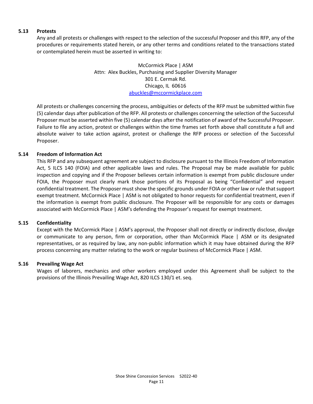#### **5.13 Protests**

Any and all protests or challenges with respect to the selection of the successful Proposer and this RFP, any of the procedures or requirements stated herein, or any other terms and conditions related to the transactions stated or contemplated herein must be asserted in writing to:

> McCormick Place | ASM Attn: Alex Buckles, Purchasing and Supplier Diversity Manager 301 E. Cermak Rd. Chicago, IL 60616 abuckles@mccormickplace.com

All protests or challenges concerning the process, ambiguities or defects of the RFP must be submitted within five (5) calendar days after publication of the RFP. All protests or challenges concerning the selection of the Successful Proposer must be asserted within five (5) calendar days after the notification of award of the Successful Proposer. Failure to file any action, protest or challenges within the time frames set forth above shall constitute a full and absolute waiver to take action against, protest or challenge the RFP process or selection of the Successful Proposer.

### **5.14 Freedom of Information Act**

This RFP and any subsequent agreement are subject to disclosure pursuant to the Illinois Freedom of Information Act, 5 ILCS 140 (FOIA) and other applicable laws and rules. The Proposal may be made available for public inspection and copying and if the Proposer believes certain information is exempt from public disclosure under FOIA, the Proposer must clearly mark those portions of its Proposal as being "Confidential" and request confidential treatment. The Proposer must show the specific grounds under FOIA or other law or rule that support exempt treatment. McCormick Place | ASM is not obligated to honor requests for confidential treatment, even if the information is exempt from public disclosure. The Proposer will be responsible for any costs or damages associated with McCormick Place | ASM's defending the Proposer's request for exempt treatment.

#### **5.15 Confidentiality**

Except with the McCormick Place | ASM's approval, the Proposer shall not directly or indirectly disclose, divulge or communicate to any person, firm or corporation, other than McCormick Place | ASM or its designated representatives, or as required by law, any non-public information which it may have obtained during the RFP process concerning any matter relating to the work or regular business of McCormick Place | ASM.

#### **5.16 Prevailing Wage Act**

Wages of laborers, mechanics and other workers employed under this Agreement shall be subject to the provisions of the Illinois Prevailing Wage Act, 820 ILCS 130/1 et. seq.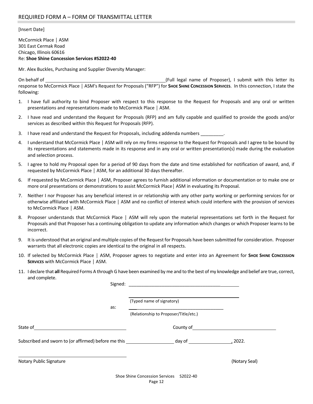[Insert Date]

McCormick Place │ ASM 301 East Cermak Road Chicago, Illinois 60616 Re: **Shoe Shine Concession Services #S2022‐40**

Mr. Alex Buckles, Purchasing and Supplier Diversity Manager:

On behalf of **Same Conduct 20 and Conduct 20 and Conduct** (Full legal name of Proposer), I submit with this letter its response to McCormick Place │ ASM's Request for Proposals ("RFP") for **SHOE SHINE CONCESSION SERVICES**. In this connection, I state the following:

- 1. I have full authority to bind Proposer with respect to this response to the Request for Proposals and any oral or written presentations and representations made to McCormick Place │ ASM.
- 2. I have read and understand the Request for Proposals (RFP) and am fully capable and qualified to provide the goods and/or services as described within this Request for Proposals (RFP).
- 3. I have read and understand the Request for Proposals, including addenda numbers
- 4. I understand that McCormick Place │ ASM will rely on my firms response to the Request for Proposals and I agree to be bound by its representations and statements made in its response and in any oral or written presentation(s) made during the evaluation and selection process.
- 5. I agree to hold my Proposal open for a period of 90 days from the date and time established for notification of award, and, if requested by McCormick Place │ ASM, for an additional 30 days thereafter.
- 6. If requested by McCormick Place │ ASM, Proposer agrees to furnish additional information or documentation or to make one or more oral presentations or demonstrations to assist McCormick Place│ ASM in evaluating its Proposal.
- 7. Neither I nor Proposer has any beneficial interest in or relationship with any other party working or performing services for or otherwise affiliated with McCormick Place │ ASM and no conflict of interest which could interfere with the provision of services to McCormick Place │ ASM.
- 8. Proposer understands that McCormick Place | ASM will rely upon the material representations set forth in the Request for Proposals and that Proposer has a continuing obligation to update any information which changes or which Proposer learns to be incorrect.
- 9. It is understood that an original and multiple copies of the Request for Proposals have been submitted for consideration. Proposer warrants that all electronic copies are identical to the original in all respects.
- 10. If selected by McCormick Place | ASM, Proposer agrees to negotiate and enter into an Agreement for Sное Sнюе Сомсезсиом **SERVICES** with McCormick Place │ ASM.
- 11. I declare that **all** Required Forms A through G have been examined by me and to the best of my knowledge and belief are true, correct, and complete.

| Signed:                                                                                               | <u> 2000 - 2000 - 2000 - 2000 - 2000 - 2000 - 2000 - 2000 - 2000 - 2000 - 2000 - 2000 - 2000 - 2000 - 2000 - 200</u>                                                                                                           |               |
|-------------------------------------------------------------------------------------------------------|--------------------------------------------------------------------------------------------------------------------------------------------------------------------------------------------------------------------------------|---------------|
|                                                                                                       | (Typed name of signatory)                                                                                                                                                                                                      |               |
| as:                                                                                                   | (Relationship to Proposer/Title/etc.)                                                                                                                                                                                          |               |
| State of<br>the control of the control of the control of the control of the control of the control of | County of the country of the country of the country of the country of the country of the country of the country of the country of the country of the country of the country of the country of the country of the country of th |               |
|                                                                                                       |                                                                                                                                                                                                                                |               |
| Notary Public Signature                                                                               |                                                                                                                                                                                                                                | (Notary Seal) |
|                                                                                                       | Shoe Shine Concession Services S2022-40<br>Page 12                                                                                                                                                                             |               |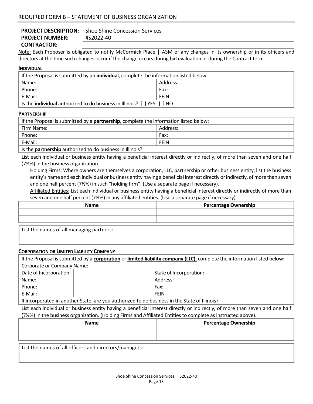#### **PROJECT DESCRIPTION:**  Shoe Shine Concession Services **PROJECT NUMBER:**  #S2022‐40

**CONTRACTOR:** 

Note: Each Proposer is obligated to notify McCormick Place | ASM of any changes in its ownership or in its officers and directors at the time such changes occur if the change occurs during bid evaluation or during the Contract term.

#### **INDIVIDUAL**

| If the Proposal is submitted by an individual, complete the information listed below: |  |       |  |  |
|---------------------------------------------------------------------------------------|--|-------|--|--|
| Address:<br>Name:                                                                     |  |       |  |  |
| Phone:                                                                                |  | Fax:  |  |  |
| E-Mail:                                                                               |  | FEIN: |  |  |
| Is the <b>individual</b> authorized to do business in Illinois? [ ] YES [ ] NO        |  |       |  |  |

#### **PARTNERSHIP**

| If the Proposal is submitted by a <b>partnership</b> , complete the information listed below: |  |       |  |
|-----------------------------------------------------------------------------------------------|--|-------|--|
| Address:<br>Firm Name:                                                                        |  |       |  |
| Phone:                                                                                        |  | Fax:  |  |
| E-Mail:                                                                                       |  | FEIN: |  |
| Is the <b>partnership</b> authorized to do business in Illinois?                              |  |       |  |

List each individual or business entity having a beneficial interest directly or indirectly, of more than seven and one half (7½%) in the business organization.

Holding Firms: Where owners are themselves a corporation, LLC, partnership or other business entity, list the business entity's name and each individual or business entity having a beneficial interest directly or indirectly, of more than seven and one half percent (7½%) in such "holding firm". (Use a separate page if necessary).

Affiliated Entities: List each individual or business entity having a beneficial interest directly or indirectly of more than seven and one half percent (7½%) in any affiliated entities. (Use a separate page if necessary).

| <b>Name</b>                              | <b>Percentage Ownership</b> |
|------------------------------------------|-----------------------------|
|                                          |                             |
|                                          |                             |
| List the names of all managing partners: |                             |

#### **CORPORATION OR LIMITED LIABILITY COMPANY**

If the Proposal is submitted by a **corporation** or **limited liability company (LLC),** complete the information listed below: Corporate or Company Name:

| Date of Incorporation: |                                                                                                                      | State of Incorporation: |  |
|------------------------|----------------------------------------------------------------------------------------------------------------------|-------------------------|--|
| Name:                  |                                                                                                                      | Address:                |  |
| Phone:                 |                                                                                                                      | Fax:                    |  |
| E-Mail:                |                                                                                                                      | FEIN                    |  |
|                        | . If the components of the checkers of the transmission in the category of the language the the Checkers of Hitherto |                         |  |

If incorporated in another State, are you authorized to do business in the State of Illinois?

List each individual or business entity having a beneficial interest directly or indirectly, of more than seven and one half (7½%) in the business organization. (Holding Firms and Affiliated Entities to complete as instructed above).

| <b>Name</b> | <b>Percentage Ownership</b> |
|-------------|-----------------------------|
|             |                             |
|             |                             |
|             |                             |

List the names of all officers and directors/managers: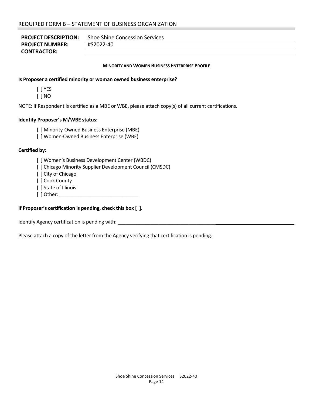| <b>PROJECT DESCRIPTION:</b> | <b>Shoe Shine Concession Services</b> |
|-----------------------------|---------------------------------------|
| <b>PROJECT NUMBER:</b>      | #S2022-40                             |
| <b>CONTRACTOR:</b>          |                                       |

#### **MINORITY AND WOMEN BUSINESS ENTERPRISE PROFILE**

#### **Is Proposer a certified minority or woman owned business enterprise?**

[ ] YES

[ ] NO

NOTE: If Respondent is certified as a MBE or WBE, please attach copy(s) of all current certifications.

#### **Identify Proposer's M/WBE status:**

[ ] Minority‐Owned Business Enterprise (MBE)

[ ] Women‐Owned Business Enterprise (WBE)

#### **Certified by:**

[ ] Women's Business Development Center (WBDC)

[ ] Chicago Minority Supplier Development Council (CMSDC)

[ ] City of Chicago

[ ] Cook County

[ ] State of Illinois

[ ] Other: \_\_\_\_\_\_\_\_\_\_\_\_\_\_\_\_\_\_\_\_\_\_\_\_\_\_\_\_\_

#### **If Proposer's certification is pending, check this box [ ].**

Identify Agency certification is pending with: \_\_\_\_\_\_\_\_\_\_\_\_\_\_\_\_\_\_\_\_\_\_\_\_\_\_\_\_\_\_\_\_\_

Please attach a copy of the letter from the Agency verifying that certification is pending.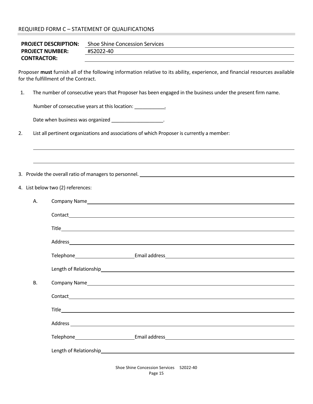### REQUIRED FORM C – STATEMENT OF QUALIFICATIONS

| <b>PROJECT DESCRIPTION:</b> | Shoe Shine Concession Services |
|-----------------------------|--------------------------------|
| <b>PROJECT NUMBER:</b>      | #S2022-40                      |
| <b>CONTRACTOR:</b>          |                                |

Proposer **must** furnish all of the following information relative to its ability, experience, and financial resources available for the fulfillment of the Contract.

<u> 1980 - Andrea Barbara, amerikan basar dan berasal di sebagai berasal di sebagai berasal di sebagai berasal d</u>

<u> 1980 - Andrea Barbara, amerikana amerikana amerikana amerikana amerikana amerikana amerikana amerikana amerika</u>

1. The number of consecutive years that Proposer has been engaged in the business under the present firm name.

Number of consecutive years at this location: \_\_\_\_\_\_\_\_\_\_\_\_\_\_\_\_.

| Date when business was organized |  |  |  |  |
|----------------------------------|--|--|--|--|
|----------------------------------|--|--|--|--|

2. List all pertinent organizations and associations of which Proposer is currently a member:

3. Provide the overall ratio of managers to personnel.

4. List below two (2) references:

| А.        | Company Name https://www.acceleration.com/second-company Name https://www.acceleration.com/second-company Name                                                                                                                 |  |
|-----------|--------------------------------------------------------------------------------------------------------------------------------------------------------------------------------------------------------------------------------|--|
|           |                                                                                                                                                                                                                                |  |
|           |                                                                                                                                                                                                                                |  |
|           |                                                                                                                                                                                                                                |  |
|           |                                                                                                                                                                                                                                |  |
|           | Length of Relationship<br>Length of Relationship                                                                                                                                                                               |  |
| <b>B.</b> |                                                                                                                                                                                                                                |  |
|           |                                                                                                                                                                                                                                |  |
|           |                                                                                                                                                                                                                                |  |
|           | Address and the contract of the contract of the contract of the contract of the contract of the contract of the contract of the contract of the contract of the contract of the contract of the contract of the contract of th |  |
|           |                                                                                                                                                                                                                                |  |
|           | Length of Relationship<br>Length of Relationship                                                                                                                                                                               |  |
|           | Shoe Shine Concession Services (3002-40)                                                                                                                                                                                       |  |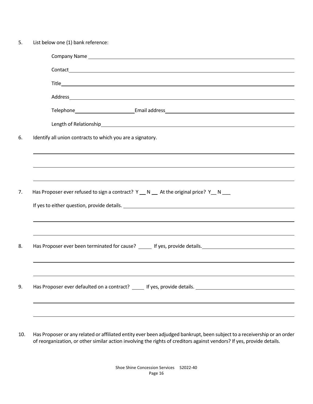| Company Name Lawrence and Company Name Lawrence and Company Name Lawrence and Company Name Lawrence and Company |
|-----------------------------------------------------------------------------------------------------------------|
|                                                                                                                 |
|                                                                                                                 |
|                                                                                                                 |
| Telephone Email address Email and Email and Email and Email and Email and Email and Email and Email and Email   |
| Length of Relationship<br>expansion of Relationship<br>Length of Relationship                                   |
| Identify all union contracts to which you are a signatory.                                                      |
|                                                                                                                 |
|                                                                                                                 |
|                                                                                                                 |
|                                                                                                                 |
| Has Proposer ever refused to sign a contract? Y __ N __ At the original price? Y __ N ___                       |
|                                                                                                                 |
|                                                                                                                 |
|                                                                                                                 |
| Has Proposer ever been terminated for cause? ______ If yes, provide details. ________________________________   |

10. Has Proposer or any related or affiliated entity ever been adjudged bankrupt, been subject to a receivership or an order of reorganization, or other similar action involving the rights of creditors against vendors? If yes, provide details.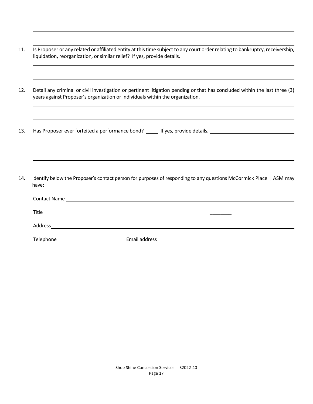<u> 1980 - Andrea Barbara, amerikan basar dan berasal di sebagai berasal di sebagai berasal di sebagai berasal d</u> 11. Is Proposer or any related or affiliated entity at this time subject to any court order relating to bankruptcy, receivership, liquidation, reorganization, or similar relief? If yes, provide details.

<u> 1980 - Andrea Barbara, amerikana amerikana amerikana amerikana amerikana amerikana amerikana amerikana amerika</u>

<u> 1980 - Andrea Barbara, amerikana amerikana amerikana amerikana amerikana amerikana amerikana amerikana amerika</u>

<u> 1980 - Andrea Barbara, amerikana amerikana amerikana amerikana amerikana amerikana amerikana amerikana amerika</u>

12. Detail any criminal or civil investigation or pertinent litigation pending or that has concluded within the last three (3) years against Proposer's organization or individuals within the organization.

<u> 1980 - Andrea Barbara, amerikana amerikana amerikana amerikana amerikana amerikana amerikana amerikana amerika</u>

<u> 1980 - Andrea Barbara, amerikana amerikana amerikana amerikana amerikana amerikana amerikana amerikana amerika</u>

<u> 1980 - Andrea Barbara, amerikana amerikana amerikana amerikana amerikana amerikana amerikana amerikana amerika</u>

<u> 1980 - Andrea Barbara, amerikan basar dan berasal di sebagai berasal di sebagai berasal di sebagai berasal d</u>

13. Has Proposer ever forfeited a performance bond? \_\_\_\_\_ If yes, provide details. \_\_\_\_\_\_\_\_\_\_\_\_\_\_\_\_\_\_\_\_\_\_\_\_\_\_\_

14. Identify below the Proposer's contact person for purposes of responding to any questions McCormick Place │ ASM may have:

| <b>Contact Name</b> | the contract of the contract of the contract of the contract of the contract of the contract of the contract of |  |
|---------------------|-----------------------------------------------------------------------------------------------------------------|--|
| Title               |                                                                                                                 |  |
| Address             |                                                                                                                 |  |
| Telephone           | Email address                                                                                                   |  |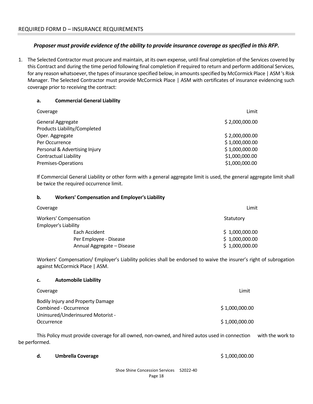# *Proposer must provide evidence of the ability to provide insurance coverage as specified in this RFP***.**

1. The Selected Contractor must procure and maintain, at its own expense, until final completion of the Services covered by this Contract and during the time period following final completion if required to return and perform additional Services, for any reason whatsoever, the types of insurance specified below, in amounts specified by McCormick Place | ASM 's Risk Manager. The Selected Contractor must provide McCormick Place | ASM with certificates of insurance evidencing such coverage prior to receiving the contract:

#### **a. Commercial General Liability**

| Coverage                      | Limit          |
|-------------------------------|----------------|
| General Aggregate             | \$2,000,000.00 |
| Products Liability/Completed  |                |
| Oper. Aggregate               | \$2,000,000.00 |
| Per Occurrence                | \$1,000,000.00 |
| Personal & Advertising Injury | \$1,000,000.00 |
| <b>Contractual Liability</b>  | \$1,000,000.00 |
| Premises-Operations           | \$1,000,000.00 |
|                               |                |

 If Commercial General Liability or other form with a general aggregate limit is used, the general aggregate limit shall be twice the required occurrence limit.

#### **b. Workers' Compensation and Employer's Liability**

| Coverage                     | Limit          |
|------------------------------|----------------|
| <b>Workers' Compensation</b> | Statutory      |
| <b>Employer's Liability</b>  |                |
| Each Accident                | \$1,000,000.00 |
| Per Employee - Disease       | \$1,000,000.00 |
| Annual Aggregate - Disease   | \$1,000,000.00 |

 Workers' Compensation/ Employer's Liability policies shall be endorsed to waive the insurer's right of subrogation against McCormick Place | ASM.

#### **c. Automobile Liability**

| Coverage                          | Limit          |
|-----------------------------------|----------------|
| Bodily Injury and Property Damage |                |
| Combined - Occurrence             | \$1,000,000.00 |
| Uninsured/Underinsured Motorist - |                |
| Occurrence                        | \$1,000,000.00 |

This Policy must provide coverage for all owned, non-owned, and hired autos used in connection with the work to be performed.

**d. Umbrella Coverage** \$ 1,000,000.00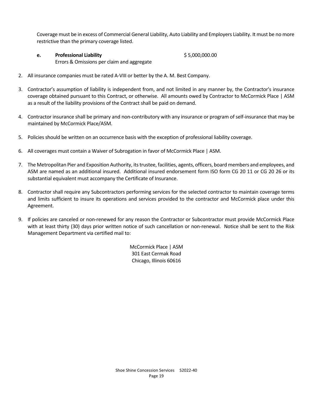Coverage must be in excess of Commercial General Liability, Auto Liability and Employers Liability. It must be no more restrictive than the primary coverage listed.

**e. Professional Liability** \$ 5,000,000.00

Errors & Omissions per claim and aggregate

- 2. All insurance companies must be rated A-VIII or better by the A. M. Best Company.
- 3. Contractor's assumption of liability is independent from, and not limited in any manner by, the Contractor's insurance coverage obtained pursuant to this Contract, or otherwise. All amounts owed by Contractor to McCormick Place | ASM as a result of the liability provisions of the Contract shall be paid on demand.
- 4. Contractor insurance shall be primary and non-contributory with any insurance or program of self-insurance that may be maintained by McCormick Place/ASM.
- 5. Policies should be written on an occurrence basis with the exception of professional liability coverage.
- 6. All coverages must contain a Waiver of Subrogation in favor of McCormick Place | ASM.
- 7. The Metropolitan Pier and Exposition Authority, its trustee, facilities, agents, officers, board members and employees, and ASM are named as an additional insured. Additional insured endorsement form ISO form CG 20 11 or CG 20 26 or its substantial equivalent must accompany the Certificate of Insurance.
- 8. Contractor shall require any Subcontractors performing services for the selected contractor to maintain coverage terms and limits sufficient to insure its operations and services provided to the contractor and McCormick place under this Agreement.
- 9. If policies are canceled or non-renewed for any reason the Contractor or Subcontractor must provide McCormick Place with at least thirty (30) days prior written notice of such cancellation or non-renewal. Notice shall be sent to the Risk Management Department via certified mail to:

McCormick Place | ASM 301 East Cermak Road Chicago, Illinois 60616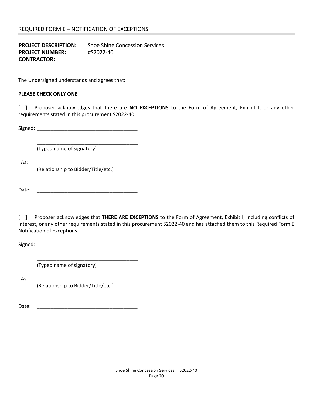| <b>PROJECT DESCRIPTION:</b> | Shoe Shine Concession Services |
|-----------------------------|--------------------------------|
| <b>PROJECT NUMBER:</b>      | #S2022-40                      |
| <b>CONTRACTOR:</b>          |                                |

The Undersigned understands and agrees that:

#### **PLEASE CHECK ONLY ONE**

**[ ]**  Proposer acknowledges that there are **NO EXCEPTIONS** to the Form of Agreement, Exhibit I, or any other requirements stated in this procurement S2022‐40.

Signed: \_\_\_\_\_\_\_\_\_\_\_\_\_\_\_\_\_\_\_\_\_\_\_\_\_\_\_\_\_\_\_\_\_\_\_\_

 \_\_\_\_\_\_\_\_\_\_\_\_\_\_\_\_\_\_\_\_\_\_\_\_\_\_\_\_\_\_\_\_\_\_\_\_ (Typed name of signatory)

As: \_\_\_\_\_\_\_\_\_\_\_\_\_\_\_\_\_\_\_\_\_\_\_\_\_\_\_\_\_\_\_\_\_\_\_\_

(Relationship to Bidder/Title/etc.)

Date: \_\_\_\_\_\_\_\_\_\_\_\_\_\_\_\_\_\_\_\_\_\_\_\_\_\_\_\_\_\_\_\_\_\_\_\_

**[ ]**  Proposer acknowledges that **THERE ARE EXCEPTIONS** to the Form of Agreement, Exhibit I, including conflicts of interest, or any other requirements stated in this procurement S2022‐40 and has attached them to this Required Form E Notification of Exceptions.

Signed:

\_\_\_\_\_\_\_\_\_\_\_\_\_\_\_\_\_\_\_\_\_\_\_\_\_\_\_\_\_\_\_\_\_\_\_\_

(Typed name of signatory)

As: \_\_\_\_\_\_\_\_\_\_\_\_\_\_\_\_\_\_\_\_\_\_\_\_\_\_\_\_\_\_\_\_\_\_\_\_

(Relationship to Bidder/Title/etc.)

Date:  $\Box$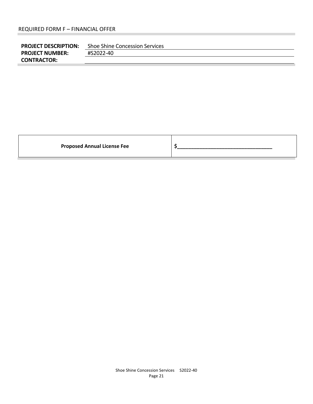| <b>PROJECT DESCRIPTION:</b> | Shoe Shine Concession Services |
|-----------------------------|--------------------------------|
| <b>PROJECT NUMBER:</b>      | #S2022-40                      |
| <b>CONTRACTOR:</b>          |                                |

**Proposed Annual License Fee 12 Apr 20 Apr 20 Apr 20 Apr 20 Apr 20 Apr 20 Apr 20 Apr 20 Apr 20 Apr 20 Apr 20 Apr 20 Apr 20 Apr 20 Apr 20 Apr 20 Apr 20 Apr 20 Apr 20 Apr 20 Apr 20 Apr 20 Apr 20 Apr 20 Apr 20 Apr 20 Apr 20**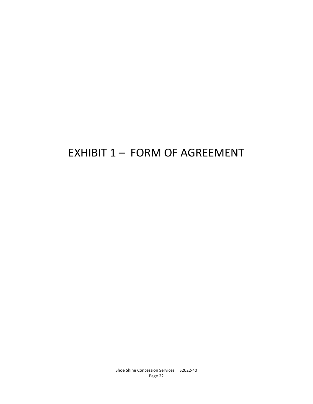# EXHIBIT 1 - FORM OF AGREEMENT

Shoe Shine Concession Services S2022-40 Page 22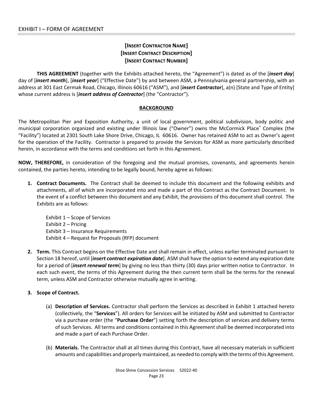# **[INSERT CONTRACTOR NAME] [INSERT CONTRACT DESCRIPTION] [INSERT CONTRACT NUMBER]**

**THIS AGREEMENT** (together with the Exhibits attached hereto, the "Agreement") is dated as of the [*insert day*] day of [*insert month*], [*insert year*] ("Effective Date") by and between ASM, a Pennsylvania general partnership, with an address at 301 East Cermak Road, Chicago, Illinois 60616 ("ASM"), and [*insert Contractor*], a(n) [State and Type of Entity] whose current address is [*insert address of Contractor*] (the "Contractor").

#### **BACKGROUND**

The Metropolitan Pier and Exposition Authority, a unit of local government, political subdivision, body politic and municipal corporation organized and existing under Illinois law ("Owner") owns the McCormick Place® Complex (the "Facility") located at 2301 South Lake Shore Drive, Chicago, IL 60616. Owner has retained ASM to act as Owner's agent for the operation of the Facility. Contractor is prepared to provide the Services for ASM as more particularly described herein, in accordance with the terms and conditions set forth in this Agreement.

**NOW, THEREFORE,** in consideration of the foregoing and the mutual promises, covenants, and agreements herein contained, the parties hereto, intending to be legally bound, hereby agree as follows:

**1. Contract Documents.**  The Contract shall be deemed to include this document and the following exhibits and attachments, all of which are incorporated into and made a part of this Contract as the Contract Document. In the event of a conflict between this document and any Exhibit, the provisions of this document shall control. The Exhibits are as follows:

Exhibit 1 – Scope of Services Exhibit 2 – Pricing Exhibit 3 – Insurance Requirements Exhibit 4 – Request for Proposals (RFP) document

**2. Term.** This Contract begins on the Effective Date and shall remain in effect, unless earlier terminated pursuant to Section 18 hereof, until [*insert contract expiration date*]. ASM shall have the option to extend any expiration date for a period of [*insert renewal term*] by giving no less than thirty (30) days prior written notice to Contractor. In each such event, the terms of this Agreement during the then current term shall be the terms for the renewal term, unless ASM and Contractor otherwise mutually agree in writing.

#### **3. Scope of Contract.**

- (a) **Description of Services.** Contractor shall perform the Services as described in Exhibit 1 attached hereto (collectively, the "**Services**"). All orders for Services will be initiated by ASM and submitted to Contractor via a purchase order (the "**Purchase Order**") setting forth the description of services and delivery terms of such Services. All terms and conditions contained in this Agreement shall be deemed incorporated into and made a part of each Purchase Order.
- (b) **Materials.** The Contractor shall at all times during this Contract, have all necessary materials in sufficient amounts and capabilities and properly maintained, as needed to comply with the terms of this Agreement.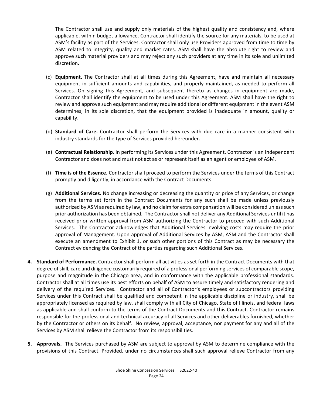The Contractor shall use and supply only materials of the highest quality and consistency and, where applicable, within budget allowance. Contractor shall identify the source for any materials, to be used at ASM's facility as part of the Services. Contractor shall only use Providers approved from time to time by ASM related to integrity, quality and market rates. ASM shall have the absolute right to review and approve such material providers and may reject any such providers at any time in its sole and unlimited discretion.

- (c) **Equipment.** The Contractor shall at all times during this Agreement, have and maintain all necessary equipment in sufficient amounts and capabilities, and properly maintained, as needed to perform all Services. On signing this Agreement, and subsequent thereto as changes in equipment are made, Contractor shall identify the equipment to be used under this Agreement. ASM shall have the right to review and approve such equipment and may require additional or different equipment in the event ASM determines, in its sole discretion, that the equipment provided is inadequate in amount, quality or capability.
- (d) **Standard of Care.** Contractor shall perform the Services with due care in a manner consistent with industry standards for the type of Services provided hereunder.
- (e) **Contractual Relationship**. In performing its Services under this Agreement, Contractor is an Independent Contractor and does not and must not act as or represent itself as an agent or employee of ASM.
- (f) **Time is of the Essence.** Contractor shall proceed to perform the Services under the terms of this Contract promptly and diligently, in accordance with the Contract Documents.
- (g) **Additional Services.** No change increasing or decreasing the quantity or price of any Services, or change from the terms set forth in the Contract Documents for any such shall be made unless previously authorized by ASM as required by law, and no claim for extra compensation will be considered unless such prior authorization has been obtained. The Contractor shall not deliver any Additional Services until it has received prior written approval from ASM authorizing the Contractor to proceed with such Additional Services. The Contractor acknowledges that Additional Services involving costs may require the prior approval of Management. Upon approval of Additional Services by ASM, ASM and the Contractor shall execute an amendment to Exhibit 1, or such other portions of this Contract as may be necessary the Contract evidencing the Contract of the parties regarding such Additional Services.
- **4. Standard of Performance.** Contractor shall perform all activities as set forth in the Contract Documents with that degree of skill, care and diligence customarily required of a professional performing services of comparable scope, purpose and magnitude in the Chicago area, and in conformance with the applicable professional standards. Contractor shall at all times use its best efforts on behalf of ASM to assure timely and satisfactory rendering and delivery of the required Services. Contractor and all of Contractor's employees or subcontractors providing Services under this Contract shall be qualified and competent in the applicable discipline or industry, shall be appropriately licensed as required by law, shall comply with all City of Chicago, State of Illinois, and federal laws as applicable and shall conform to the terms of the Contract Documents and this Contract. Contractor remains responsible for the professional and technical accuracy of all Services and other deliverables furnished, whether by the Contractor or others on its behalf. No review, approval, acceptance, nor payment for any and all of the Services by ASM shall relieve the Contractor from its responsibilities.
- **5. Approvals.**  The Services purchased by ASM are subject to approval by ASM to determine compliance with the provisions of this Contract. Provided, under no circumstances shall such approval relieve Contractor from any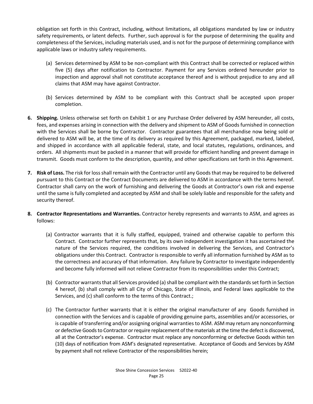obligation set forth in this Contract, including, without limitations, all obligations mandated by law or industry safety requirements, or latent defects. Further, such approval is for the purpose of determining the quality and completeness of the Services, including materials used, and is not for the purpose of determining compliance with applicable laws or industry safety requirements.

- (a) Services determined by ASM to be non‐compliant with this Contract shall be corrected or replaced within five (5) days after notification to Contractor. Payment for any Services ordered hereunder prior to inspection and approval shall not constitute acceptance thereof and is without prejudice to any and all claims that ASM may have against Contractor.
- (b) Services determined by ASM to be compliant with this Contract shall be accepted upon proper completion.
- **6. Shipping.** Unless otherwise set forth on Exhibit 1 or any Purchase Order delivered by ASM hereunder, all costs, fees, and expenses arising in connection with the delivery and shipment to ASM of Goods furnished in connection with the Services shall be borne by Contractor. Contractor guarantees that all merchandise now being sold or delivered to ASM will be, at the time of its delivery as required by this Agreement, packaged, marked, labeled, and shipped in accordance with all applicable federal, state, and local statutes, regulations, ordinances, and orders. All shipments must be packed in a manner that will provide for efficient handling and prevent damage in transmit. Goods must conform to the description, quantity, and other specifications set forth in this Agreement.
- **7. Risk of Loss.** The risk for loss shall remain with the Contractor until any Goods that may be required to be delivered pursuant to this Contract or the Contract Documents are delivered to ASM in accordance with the terms hereof. Contractor shall carry on the work of furnishing and delivering the Goods at Contractor's own risk and expense until the same is fully completed and accepted by ASM and shall be solely liable and responsible for the safety and security thereof.
- **8. Contractor Representations and Warranties.** Contractor hereby represents and warrants to ASM, and agrees as follows:
	- (a) Contractor warrants that it is fully staffed, equipped, trained and otherwise capable to perform this Contract. Contractor further represents that, by its own independent investigation it has ascertained the nature of the Services required, the conditions involved in delivering the Services, and Contractor's obligations under this Contract. Contractor is responsible to verify all information furnished by ASM as to the correctness and accuracy of that information. Any failure by Contractor to investigate independently and become fully informed will not relieve Contractor from its responsibilities under this Contract;
	- (b) Contractor warrants that all Services provided (a) shall be compliant with the standards set forth in Section 4 hereof, (b) shall comply with all City of Chicago, State of Illinois, and Federal laws applicable to the Services, and (c) shall conform to the terms of this Contract.;
	- (c) The Contractor further warrants that it is either the original manufacturer of any Goods furnished in connection with the Services and is capable of providing genuine parts, assemblies and/or accessories, or is capable of transferring and/or assigning original warranties to ASM. ASM may return any nonconforming or defective Goods to Contractor or require replacement of the materials at the time the defect is discovered, all at the Contractor's expense. Contractor must replace any nonconforming or defective Goods within ten (10) days of notification from ASM's designated representative. Acceptance of Goods and Services by ASM by payment shall not relieve Contractor of the responsibilities herein;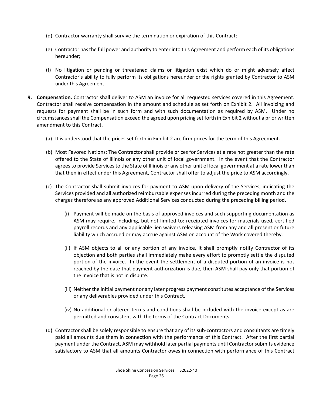- (d) Contractor warranty shall survive the termination or expiration of this Contract;
- (e) Contractor has the full power and authority to enter into this Agreement and perform each of its obligations hereunder;
- (f) No litigation or pending or threatened claims or litigation exist which do or might adversely affect Contractor's ability to fully perform its obligations hereunder or the rights granted by Contractor to ASM under this Agreement.
- **9. Compensation.** Contractor shall deliver to ASM an invoice for all requested services covered in this Agreement. Contractor shall receive compensation in the amount and schedule as set forth on Exhibit 2. All invoicing and requests for payment shall be in such form and with such documentation as required by ASM. Under no circumstances shall the Compensation exceed the agreed upon pricing set forth in Exhibit 2 without a prior written amendment to this Contract.
	- (a) It is understood that the prices set forth in Exhibit 2 are firm prices for the term of this Agreement.
	- (b) Most Favored Nations: The Contractor shall provide prices for Services at a rate not greater than the rate offered to the State of Illinois or any other unit of local government. In the event that the Contractor agrees to provide Services to the State of Illinois or any other unit of local government at a rate lower than that then in effect under this Agreement, Contractor shall offer to adjust the price to ASM accordingly.
	- (c) The Contractor shall submit invoices for payment to ASM upon delivery of the Services, indicating the Services provided and all authorized reimbursable expenses incurred during the preceding month and the charges therefore as any approved Additional Services conducted during the preceding billing period.
		- (i) Payment will be made on the basis of approved invoices and such supporting documentation as ASM may require, including, but not limited to: receipted invoices for materials used, certified payroll records and any applicable lien waivers releasing ASM from any and all present or future liability which accrued or may accrue against ASM on account of the Work covered thereby.
		- (ii) If ASM objects to all or any portion of any invoice, it shall promptly notify Contractor of its objection and both parties shall immediately make every effort to promptly settle the disputed portion of the invoice. In the event the settlement of a disputed portion of an invoice is not reached by the date that payment authorization is due, then ASM shall pay only that portion of the invoice that is not in dispute.
		- (iii) Neither the initial payment nor any later progress payment constitutes acceptance of the Services or any deliverables provided under this Contract.
		- (iv) No additional or altered terms and conditions shall be included with the invoice except as are permitted and consistent with the terms of the Contract Documents.
	- (d) Contractor shall be solely responsible to ensure that any of its sub‐contractors and consultants are timely paid all amounts due them in connection with the performance of this Contract. After the first partial payment under the Contract, ASM may withhold later partial payments until Contractor submits evidence satisfactory to ASM that all amounts Contractor owes in connection with performance of this Contract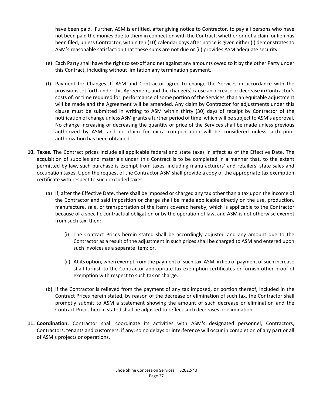have been paid. Further, ASM is entitled, after giving notice to Contractor, to pay all persons who have not been paid the monies due to them in connection with the Contract, whether or not a claim or lien has been filed, unless Contractor, within ten (10) calendar days after notice is given either (i) demonstrates to ASM's reasonable satisfaction that these sums are not due or (ii) provides ASM adequate security.

- (e) Each Party shall have the right to set‐off and net against any amounts owed to it by the other Party under this Contract, including without limitation any termination payment.
- (f) Payment for Changes. If ASM and Contractor agree to change the Services in accordance with the provisions set forth under this Agreement, and the change(s) cause an increase or decrease in Contractor's costs of, or time required for, performance of some portion of the Services, than an equitable adjustment will be made and the Agreement will be amended. Any claim by Contractor for adjustments under this clause must be submitted in writing to ASM within thirty (30) days of receipt by Contractor of the notification of change unless ASM grants a further period of time, which will be subject to ASM's approval. No change increasing or decreasing the quantity or price of the Services shall be made unless previous authorized by ASM, and no claim for extra compensation will be considered unless such prior authorization has been obtained.
- **10. Taxes.** The Contract prices include all applicable federal and state taxes in effect as of the Effective Date. The acquisition of supplies and materials under this Contract is to be completed in a manner that, to the extent permitted by law, such purchase is exempt from taxes, including manufacturers' and retailers' state sales and occupation taxes. Upon the request of the Contractor ASM shall provide a copy of the appropriate tax exemption certificate with respect to such excluded taxes.
	- (a) If, after the Effective Date, there shall be imposed or charged any tax other than a tax upon the income of the Contractor and said imposition or charge shall be made applicable directly on the use, production, manufacture, sale, or transportation of the items covered hereby, which is applicable to the Contractor because of a specific contractual obligation or by the operation of law, and ASM is not otherwise exempt from such tax, then:
		- (i) The Contract Prices herein stated shall be accordingly adjusted and any amount due to the Contractor as a result of the adjustment in such prices shall be charged to ASM and entered upon such invoices as a separate item; or,
		- (ii) At its option, when exempt from the payment of such tax, ASM, in lieu of payment of such increase shall furnish to the Contractor appropriate tax exemption certificates or furnish other proof of exemption with respect to such tax or charge.
	- (b) If the Contractor is relieved from the payment of any tax imposed, or portion thereof, included in the Contract Prices herein stated, by reason of the decrease or elimination of such tax, the Contractor shall promptly submit to ASM a statement showing the amount of such decrease or elimination and the Contract Prices herein stated shall be adjusted to reflect such decreases or elimination.
- **11. Coordination.**  Contractor shall coordinate its activities with ASM's designated personnel, Contractors, Contractors, tenants and customers, if any, so no delays or interference will occur in completion of any part or all of ASM's projects or operations.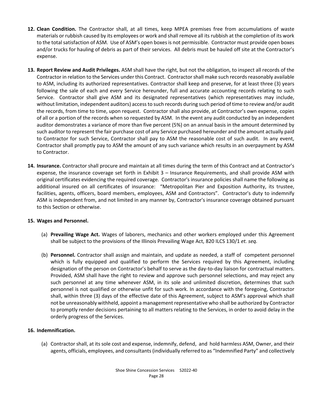- 12. Clean Condition. The Contractor shall, at all times, keep MPEA premises free from accumulations of waste materials or rubbish caused by its employees or work and shall remove all its rubbish at the completion of its work to the total satisfaction of ASM. Use of ASM's open boxes is not permissible. Contractor must provide open boxes and/or trucks for hauling of debris as part of their services. All debris must be hauled off site at the Contractor's expense.
- **13. Report Review and Audit Privileges.** ASM shall have the right, but not the obligation, to inspect all records of the Contractor in relation to the Services under this Contract. Contractor shall make such records reasonably available to ASM, including its authorized representatives. Contractor shall keep and preserve, for at least three (3) years following the sale of each and every Service hereunder, full and accurate accounting records relating to such Service. Contractor shall give ASM and its designated representatives (which representatives may include, without limitation, independent auditors) access to such records during such period of time to review and/or audit the records, from time to time, upon request. Contractor shall also provide, at Contractor's own expense, copies of all or a portion of the records when so requested by ASM. In the event any audit conducted by an independent auditor demonstrates a variance of more than five percent (5%) on an annual basis in the amount determined by such auditor to represent the fair purchase cost of any Service purchased hereunder and the amount actually paid to Contractor for such Service, Contractor shall pay to ASM the reasonable cost of such audit. In any event, Contractor shall promptly pay to ASM the amount of any such variance which results in an overpayment by ASM to Contractor.
- **14. Insurance.** Contractor shall procure and maintain at all times during the term of this Contract and at Contractor's expense, the insurance coverage set forth in Exhibit 3 – Insurance Requirements, and shall provide ASM with original certificates evidencing the required coverage. Contractor's insurance policies shall name the following as additional insured on all certificates of insurance: "Metropolitan Pier and Exposition Authority, its trustee, facilities, agents, officers, board members, employees, ASM and Contractors". Contractor's duty to indemnify ASM is independent from, and not limited in any manner by, Contractor's insurance coverage obtained pursuant to this Section or otherwise.

# **15. Wages and Personnel.**

- (a) **Prevailing Wage Act.** Wages of laborers, mechanics and other workers employed under this Agreement shall be subject to the provisions of the Illinois Prevailing Wage Act, 820 ILCS 130/1 *et. seq.*
- (b) **Personnel.** Contractor shall assign and maintain, and update as needed, a staff of competent personnel which is fully equipped and qualified to perform the Services required by this Agreement, including designation of the person on Contractor's behalf to serve as the day‐to‐day liaison for contractual matters. Provided, ASM shall have the right to review and approve such personnel selections, and may reject any such personnel at any time whenever ASM, in its sole and unlimited discretion, determines that such personnel is not qualified or otherwise unfit for such work. In accordance with the foregoing, Contractor shall, within three (3) days of the effective date of this Agreement, subject to ASM's approval which shall not be unreasonably withheld, appoint a management representative who shall be authorized by Contractor to promptly render decisions pertaining to all matters relating to the Services, in order to avoid delay in the orderly progress of the Services.

#### **16. Indemnification.**

(a) Contractor shall, at its sole cost and expense, indemnify, defend, and hold harmless ASM, Owner, and their agents, officials, employees, and consultants (individually referred to as "Indemnified Party" and collectively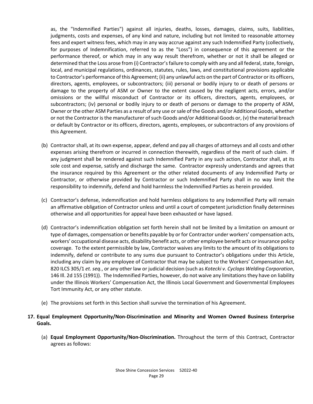as, the "Indemnified Parties") against all injuries, deaths, losses, damages, claims, suits, liabilities, judgments, costs and expenses, of any kind and nature, including but not limited to reasonable attorney fees and expert witness fees, which may in any way accrue against any such Indemnified Party (collectively, for purposes of Indemnification, referred to as the "Loss") in consequence of this agreement or the performance thereof, or which may in any way result therefrom, whether or not it shall be alleged or determined that the Loss arose from (i) Contractor's failure to comply with any and all federal, state, foreign, local, and municipal regulations, ordinances, statutes, rules, laws, and constitutional provisions applicable to Contractor's performance of this Agreement; (ii) any unlawful acts on the part of Contractor or its officers, directors, agents, employees, or subcontractors; (iii) personal or bodily injury to or death of persons or damage to the property of ASM or Owner to the extent caused by the negligent acts, errors, and/or omissions or the willful misconduct of Contractor or its officers, directors, agents, employees, or subcontractors; (iv) personal or bodily injury to or death of persons or damage to the property of ASM, Owner or the other ASM Parties as a result of any use or sale of the Goods and/or Additional Goods, whether or not the Contractor is the manufacturer of such Goods and/or Additional Goods or, (v) the material breach or default by Contractor or its officers, directors, agents, employees, or subcontractors of any provisions of this Agreement.

- (b) Contractor shall, at its own expense, appear, defend and pay all charges of attorneys and all costs and other expenses arising therefrom or incurred in connection therewith, regardless of the merit of such claim. If any judgment shall be rendered against such Indemnified Party in any such action, Contractor shall, at its sole cost and expense, satisfy and discharge the same. Contractor expressly understands and agrees that the insurance required by this Agreement or the other related documents of any Indemnified Party or Contractor, or otherwise provided by Contractor or such Indemnified Party shall in no way limit the responsibility to indemnify, defend and hold harmless the Indemnified Parties as herein provided.
- (c) Contractor's defense, indemnification and hold harmless obligations to any Indemnified Party will remain an affirmative obligation of Contractor unless and until a court of competent jurisdiction finally determines otherwise and all opportunities for appeal have been exhausted or have lapsed.
- (d) Contractor's indemnification obligation set forth herein shall not be limited by a limitation on amount or type of damages, compensation or benefits payable by or for Contractor under workers' compensation acts, workers' occupational disease acts, disability benefit acts, or other employee benefit acts or insurance policy coverage. To the extent permissible by law, Contractor waives any limits to the amount of its obligations to indemnify, defend or contribute to any sums due pursuant to Contractor's obligations under this Article, including any claim by any employee of Contractor that may be subject to the Workers' Compensation Act, 820 ILCS 305/1 *et. seq.*, or any other law or judicial decision (such as *Kotecki v. Cyclops Welding Corporation*, 146 Ill. 2d 155 (1991)). The Indemnified Parties, however, do not waive any limitations they have on liability under the Illinois Workers' Compensation Act, the Illinois Local Government and Governmental Employees Tort Immunity Act, or any other statute.
- (e) The provisions set forth in this Section shall survive the termination of his Agreement.

# **17. Equal Employment Opportunity/Non‐Discrimination and Minority and Women Owned Business Enterprise Goals.**

(a) **Equal Employment Opportunity/Non‐Discrimination.** Throughout the term of this Contract, Contractor agrees as follows: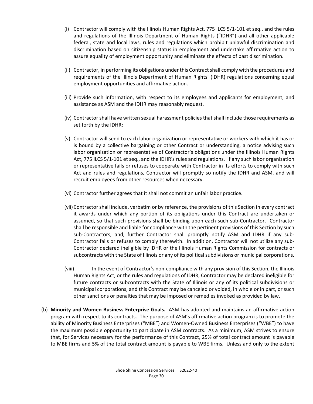- (i) Contractor will comply with the Illinois Human Rights Act, 775 ILCS 5/1‐101 et seq., and the rules and regulations of the Illinois Department of Human Rights ("IDHR") and all other applicable federal, state and local laws, rules and regulations which prohibit unlawful discrimination and discrimination based on citizenship status in employment and undertake affirmative action to assure equality of employment opportunity and eliminate the effects of past discrimination.
- (ii) Contractor, in performing its obligations under this Contract shall comply with the procedures and requirements of the Illinois Department of Human Rights' (IDHR) regulations concerning equal employment opportunities and affirmative action.
- (iii) Provide such information, with respect to its employees and applicants for employment, and assistance as ASM and the IDHR may reasonably request.
- (iv) Contractor shall have written sexual harassment policies that shall include those requirements as set forth by the IDHR:
- (v) Contractor will send to each labor organization or representative or workers with which it has or is bound by a collective bargaining or other Contract or understanding, a notice advising such labor organization or representative of Contractor's obligations under the Illinois Human Rights Act, 775 ILCS 5/1‐101 et seq., and the IDHR's rules and regulations. If any such labor organization or representative fails or refuses to cooperate with Contractor in its efforts to comply with such Act and rules and regulations, Contractor will promptly so notify the IDHR and ASM, and will recruit employees from other resources when necessary.
- (vi) Contractor further agrees that it shall not commit an unfair labor practice.
- (vii)Contractor shall include, verbatim or by reference, the provisions of this Section in every contract it awards under which any portion of its obligations under this Contract are undertaken or assumed, so that such provisions shall be binding upon each such sub‐Contractor. Contractor shall be responsible and liable for compliance with the pertinent provisions of this Section by such sub-Contractors, and, further Contractor shall promptly notify ASM and IDHR if any sub-Contractor fails or refuses to comply therewith. In addition, Contractor will not utilize any sub‐ Contractor declared ineligible by IDHR or the Illinois Human Rights Commission for contracts or subcontracts with the State of Illinois or any of its political subdivisions or municipal corporations.
- (viii) In the event of Contractor's non-compliance with any provision of this Section, the Illinois Human Rights Act, or the rules and regulations of IDHR, Contractor may be declared ineligible for future contracts or subcontracts with the State of Illinois or any of its political subdivisions or municipal corporations, and this Contract may be canceled or voided, in whole or in part, or such other sanctions or penalties that may be imposed or remedies invoked as provided by law.
- (b) **Minority and Women Business Enterprise Goals.**  ASM has adopted and maintains an affirmative action program with respect to its contracts. The purpose of ASM's affirmative action program is to promote the ability of Minority Business Enterprises ("MBE") and Women‐Owned Business Enterprises ("WBE") to have the maximum possible opportunity to participate in ASM contracts. As a minimum, ASM strives to ensure that, for Services necessary for the performance of this Contract, 25% of total contract amount is payable to MBE firms and 5% of the total contract amount is payable to WBE firms. Unless and only to the extent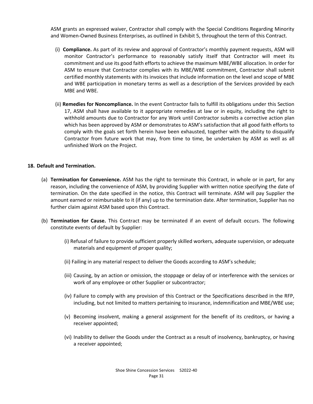ASM grants an expressed waiver, Contractor shall comply with the Special Conditions Regarding Minority and Women‐Owned Business Enterprises, as outlined in Exhibit 5, throughout the term of this Contract.

- (i) **Compliance.** As part of its review and approval of Contractor's monthly payment requests, ASM will monitor Contractor's performance to reasonably satisfy itself that Contractor will meet its commitment and use its good faith efforts to achieve the maximum MBE/WBE allocation. In order for ASM to ensure that Contractor complies with its MBE/WBE commitment, Contractor shall submit certified monthly statements with its invoices that include information on the level and scope of MBE and WBE participation in monetary terms as well as a description of the Services provided by each MBE and WBE.
- (ii) **Remedies for Noncompliance.** In the event Contractor fails to fulfill its obligations under this Section 17, ASM shall have available to it appropriate remedies at law or in equity, including the right to withhold amounts due to Contractor for any Work until Contractor submits a corrective action plan which has been approved by ASM or demonstrates to ASM's satisfaction that all good faith efforts to comply with the goals set forth herein have been exhausted, together with the ability to disqualify Contractor from future work that may, from time to time, be undertaken by ASM as well as all unfinished Work on the Project.

#### **18. Default and Termination.**

- (a) **Termination for Convenience.** ASM has the right to terminate this Contract, in whole or in part, for any reason, including the convenience of ASM, by providing Supplier with written notice specifying the date of termination. On the date specified in the notice, this Contract will terminate. ASM will pay Supplier the amount earned or reimbursable to it (if any) up to the termination date. After termination, Supplier has no further claim against ASM based upon this Contract.
- (b) **Termination for Cause.** This Contract may be terminated if an event of default occurs. The following constitute events of default by Supplier:
	- (i) Refusal of failure to provide sufficient properly skilled workers, adequate supervision, or adequate materials and equipment of proper quality;
	- (ii) Failing in any material respect to deliver the Goods according to ASM's schedule;
	- (iii) Causing, by an action or omission, the stoppage or delay of or interference with the services or work of any employee or other Supplier or subcontractor;
	- (iv) Failure to comply with any provision of this Contract or the Specifications described in the RFP, including, but not limited to matters pertaining to insurance, indemnification and MBE/WBE use;
	- (v) Becoming insolvent, making a general assignment for the benefit of its creditors, or having a receiver appointed;
	- (vi) Inability to deliver the Goods under the Contract as a result of insolvency, bankruptcy, or having a receiver appointed;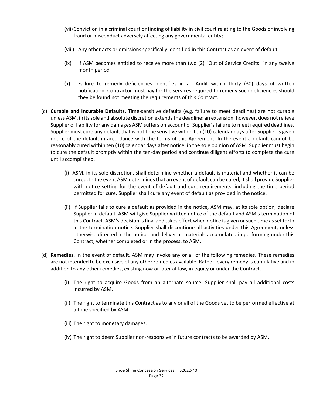- (vii) Conviction in a criminal court or finding of liability in civil court relating to the Goods or involving fraud or misconduct adversely affecting any governmental entity;
- (viii) Any other acts or omissions specifically identified in this Contract as an event of default.
- (ix) If ASM becomes entitled to receive more than two (2) "Out of Service Credits" in any twelve month period
- (x) Failure to remedy deficiencies identifies in an Audit within thirty (30) days of written notification. Contractor must pay for the services required to remedy such deficiencies should they be found not meeting the requirements of this Contract.
- (c) **Curable and Incurable Defaults.** Time‐sensitive defaults (e.g. failure to meet deadlines) are not curable unless ASM, in its sole and absolute discretion extends the deadline; an extension, however, does not relieve Supplier of liability for any damages ASM suffers on account of Supplier's failure to meet required deadlines. Supplier must cure any default that is not time sensitive within ten (10) calendar days after Supplier is given notice of the default in accordance with the terms of this Agreement. In the event a default cannot be reasonably cured within ten (10) calendar days after notice, in the sole opinion of ASM, Supplier must begin to cure the default promptly within the ten‐day period and continue diligent efforts to complete the cure until accomplished.
	- (i) ASM, in its sole discretion, shall determine whether a default is material and whether it can be cured. In the event ASM determines that an event of default can be cured, it shall provide Supplier with notice setting for the event of default and cure requirements, including the time period permitted for cure. Supplier shall cure any event of default as provided in the notice.
	- (ii) If Supplier fails to cure a default as provided in the notice, ASM may, at its sole option, declare Supplier in default. ASM will give Supplier written notice of the default and ASM's termination of this Contract. ASM's decision is final and takes effect when notice is given or such time as set forth in the termination notice. Supplier shall discontinue all activities under this Agreement, unless otherwise directed in the notice, and deliver all materials accumulated in performing under this Contract, whether completed or in the process, to ASM.
- (d) **Remedies.** In the event of default, ASM may invoke any or all of the following remedies. These remedies are not intended to be exclusive of any other remedies available. Rather, every remedy is cumulative and in addition to any other remedies, existing now or later at law, in equity or under the Contract.
	- (i) The right to acquire Goods from an alternate source. Supplier shall pay all additional costs incurred by ASM.
	- (ii) The right to terminate this Contract as to any or all of the Goods yet to be performed effective at a time specified by ASM.
	- (iii) The right to monetary damages.
	- (iv) The right to deem Supplier non‐responsive in future contracts to be awarded by ASM.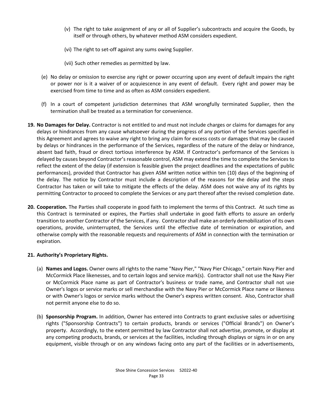- (v) The right to take assignment of any or all of Supplier's subcontracts and acquire the Goods, by itself or through others, by whatever method ASM considers expedient.
- (vi) The right to set‐off against any sums owing Supplier.
- (vii) Such other remedies as permitted by law.
- (e) No delay or omission to exercise any right or power occurring upon any event of default impairs the right or power nor is it a waiver of or acquiescence in any event of default. Every right and power may be exercised from time to time and as often as ASM considers expedient.
- (f) In a court of competent jurisdiction determines that ASM wrongfully terminated Supplier, then the termination shall be treated as a termination for convenience.
- **19. No Damages for Delay.** Contractor is not entitled to and must not include charges or claims for damages for any delays or hindrances from any cause whatsoever during the progress of any portion of the Services specified in this Agreement and agrees to waive any right to bring any claim for excess costs or damages that may be caused by delays or hindrances in the performance of the Services, regardless of the nature of the delay or hindrance, absent bad faith, fraud or direct tortious interference by ASM. If Contractor's performance of the Services is delayed by causes beyond Contractor's reasonable control, ASM may extend the time to complete the Services to reflect the extent of the delay (if extension is feasible given the project deadlines and the expectations of public performances), provided that Contractor has given ASM written notice within ten (10) days of the beginning of the delay. The notice by Contractor must include a description of the reasons for the delay and the steps Contractor has taken or will take to mitigate the effects of the delay. ASM does not waive any of its rights by permitting Contractor to proceed to complete the Services or any part thereof after the revised completion date.
- **20. Cooperation.** The Parties shall cooperate in good faith to implement the terms of this Contract. At such time as this Contract is terminated or expires, the Parties shall undertake in good faith efforts to assure an orderly transition to another Contractor of the Services, if any. Contractor shall make an orderly demobilization of its own operations, provide, uninterrupted, the Services until the effective date of termination or expiration, and otherwise comply with the reasonable requests and requirements of ASM in connection with the termination or expiration.

# **21. Authority's Proprietary Rights.**

- (a) **Names and Logos.** Owner owns all rights to the name "Navy Pier," "Navy Pier Chicago," certain Navy Pier and McCormick Place likenesses, and to certain logos and service mark(s). Contractor shall not use the Navy Pier or McCormick Place name as part of Contractor's business or trade name, and Contractor shall not use Owner's logos or service marks or sell merchandise with the Navy Pier or McCormick Place name or likeness or with Owner's logos or service marks without the Owner's express written consent. Also, Contractor shall not permit anyone else to do so.
- (b) **Sponsorship Program.** In addition, Owner has entered into Contracts to grant exclusive sales or advertising rights ("Sponsorship Contracts") to certain products, brands or services ("Official Brands") on Owner's property. Accordingly, to the extent permitted by law Contractor shall not advertise, promote, or display at any competing products, brands, or services at the facilities, including through displays or signs in or on any equipment, visible through or on any windows facing onto any part of the facilities or in advertisements,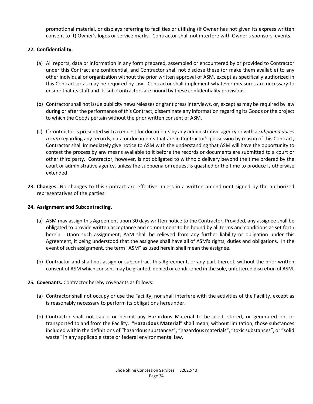promotional material, or displays referring to facilities or utilizing (if Owner has not given its express written consent to it) Owner's logos or service marks. Contractor shall not interfere with Owner's sponsors' events.

### **22. Confidentiality.**

- (a) All reports, data or information in any form prepared, assembled or encountered by or provided to Contractor under this Contract are confidential, and Contractor shall not disclose these (or make them available) to any other individual or organization without the prior written approval of ASM, except as specifically authorized in this Contract or as may be required by law. Contractor shall implement whatever measures are necessary to ensure that its staff and its sub‐Contractors are bound by these confidentiality provisions.
- (b) Contractor shall not issue publicity news releases or grant press interviews, or, except as may be required by law during or after the performance of this Contract, disseminate any information regarding its Goods or the project to which the Goods pertain without the prior written consent of ASM.
- (c) If Contractor is presented with a request for documents by any administrative agency or with a *subpoena duces tecum* regarding any records, data or documents that are in Contractor's possession by reason of this Contract, Contractor shall immediately give notice to ASM with the understanding that ASM will have the opportunity to contest the process by any means available to it before the records or documents are submitted to a court or other third party. Contractor, however, is not obligated to withhold delivery beyond the time ordered by the court or administrative agency, unless the subpoena or request is quashed or the time to produce is otherwise extended
- **23. Changes.** No changes to this Contract are effective unless in a written amendment signed by the authorized representatives of the parties.

#### **24. Assignment and Subcontracting.**

- (a) ASM may assign this Agreement upon 30 days written notice to the Contractor. Provided, any assignee shall be obligated to provide written acceptance and commitment to be bound by all terms and conditions as set forth herein. Upon such assignment, ASM shall be relieved from any further liability or obligation under this Agreement, it being understood that the assignee shall have all of ASM's rights, duties and obligations. In the event of such assignment, the term "ASM" as used herein shall mean the assignee.
- (b) Contractor and shall not assign or subcontract this Agreement, or any part thereof, without the prior written consent of ASM which consent may be granted, denied or conditioned in the sole, unfettered discretion of ASM.
- **25. Covenants.** Contractor hereby covenants as follows:
	- (a) Contractor shall not occupy or use the Facility, nor shall interfere with the activities of the Facility, except as is reasonably necessary to perform its obligations hereunder.
	- (b) Contractor shall not cause or permit any Hazardous Material to be used, stored, or generated on, or transported to and from the Facility. "**Hazardous Material**" shall mean, without limitation, those substances included within the definitions of "hazardous substances", "hazardous materials", "toxic substances", or "solid waste" in any applicable state or federal environmental law.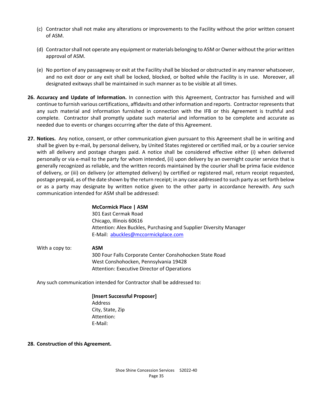- (c) Contractor shall not make any alterations or improvements to the Facility without the prior written consent of ASM.
- (d) Contractor shall not operate any equipment or materials belonging to ASM or Owner without the prior written approval of ASM.
- (e) No portion of any passageway or exit at the Facility shall be blocked or obstructed in any manner whatsoever, and no exit door or any exit shall be locked, blocked, or bolted while the Facility is in use. Moreover, all designated exitways shall be maintained in such manner as to be visible at all times.
- **26. Accuracy and Update of Information.** In connection with this Agreement, Contractor has furnished and will continue to furnish various certifications, affidavits and other information and reports. Contractor represents that any such material and information furnished in connection with the IFB or this Agreement is truthful and complete. Contractor shall promptly update such material and information to be complete and accurate as needed due to events or changes occurring after the date of this Agreement.
- **27. Notices.** Any notice, consent, or other communication given pursuant to this Agreement shall be in writing and shall be given by e-mail, by personal delivery, by United States registered or certified mail, or by a courier service with all delivery and postage charges paid. A notice shall be considered effective either (i) when delivered personally or via e-mail to the party for whom intended, (ii) upon delivery by an overnight courier service that is generally recognized as reliable, and the written records maintained by the courier shall be prima facie evidence of delivery, or (iii) on delivery (or attempted delivery) by certified or registered mail, return receipt requested, postage prepaid, as of the date shown by the return receipt; in any case addressed to such party as set forth below or as a party may designate by written notice given to the other party in accordance herewith. Any such communication intended for ASM shall be addressed:

# **McCormick Place | ASM**  301 East Cermak Road Chicago, Illinois 60616 Attention: Alex Buckles, Purchasing and Supplier Diversity Manager E‐Mail: abuckles@mccormickplace.com

 With a copy to: **ASM** 300 Four Falls Corporate Center Conshohocken State Road West Conshohocken, Pennsylvania 19428 Attention: Executive Director of Operations

Any such communication intended for Contractor shall be addressed to:

 **[Insert Successful Proposer]**  Address City, State, Zip Attention: E‐Mail:

#### **28. Construction of this Agreement.**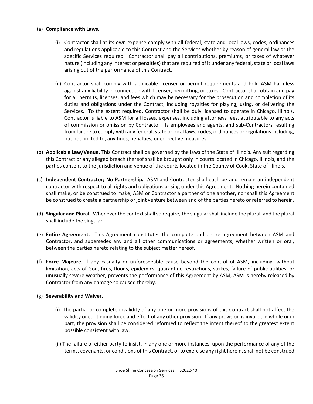#### (a) **Compliance with Laws.**

- (i) Contractor shall at its own expense comply with all federal, state and local laws, codes, ordinances and regulations applicable to this Contract and the Services whether by reason of general law or the specific Services required. Contractor shall pay all contributions, premiums, or taxes of whatever nature (including any interest or penalties) that are required of it under any federal, state or local laws arising out of the performance of this Contract.
- (ii) Contractor shall comply with applicable licenser or permit requirements and hold ASM harmless against any liability in connection with licenser, permitting, or taxes. Contractor shall obtain and pay for all permits, licenses, and fees which may be necessary for the prosecution and completion of its duties and obligations under the Contract, including royalties for playing, using, or delivering the Services. To the extent required, Contractor shall be duly licensed to operate in Chicago, Illinois. Contractor is liable to ASM for all losses, expenses, including attorneys fees, attributable to any acts of commission or omission by Contractor, its employees and agents, and sub‐Contractors resulting from failure to comply with any federal, state or local laws, codes, ordinances or regulations including, but not limited to, any fines, penalties, or corrective measures.
- (b) **Applicable Law/Venue.** This Contract shall be governed by the laws of the State of Illinois. Any suit regarding this Contract or any alleged breach thereof shall be brought only in courts located in Chicago, Illinois, and the parties consent to the jurisdiction and venue of the courts located in the County of Cook, State of Illinois.
- (c) **Independent Contractor; No Partnership.**  ASM and Contractor shall each be and remain an independent contractor with respect to all rights and obligations arising under this Agreement. Nothing herein contained shall make, or be construed to make, ASM or Contractor a partner of one another, nor shall this Agreement be construed to create a partnership or joint venture between and of the parties hereto or referred to herein.
- (d) **Singular and Plural.** Whenever the context shall so require, the singular shall include the plural, and the plural shall include the singular.
- (e) **Entire Agreement.**  This Agreement constitutes the complete and entire agreement between ASM and Contractor, and supersedes any and all other communications or agreements, whether written or oral, between the parties hereto relating to the subject matter hereof.
- (f) **Force Majeure.**  If any casualty or unforeseeable cause beyond the control of ASM, including, without limitation, acts of God, fires, floods, epidemics, quarantine restrictions, strikes, failure of public utilities, or unusually severe weather, prevents the performance of this Agreement by ASM, ASM is hereby released by Contractor from any damage so caused thereby.

#### (g) **Severability and Waiver.**

- (i) The partial or complete invalidity of any one or more provisions of this Contract shall not affect the validity or continuing force and effect of any other provision. If any provision is invalid, in whole or in part, the provision shall be considered reformed to reflect the intent thereof to the greatest extent possible consistent with law.
- (ii) The failure of either party to insist, in any one or more instances, upon the performance of any of the terms, covenants, or conditions of this Contract, or to exercise any right herein, shall not be construed